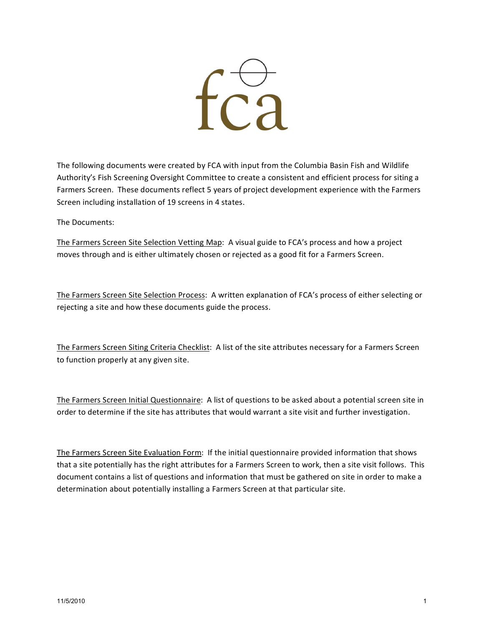

The following documents were created by FCA with input from the Columbia Basin Fish and Wildlife Authority's Fish Screening Oversight Committee to create a consistent and efficient process for siting a Farmers Screen. These documents reflect 5 years of project development experience with the Farmers Screen including installation of 19 screens in 4 states.

The
Documents:

The
Farmers
Screen
Site
Selection
Vetting
Map:

A
visual
guide
to
FCA's
process
and
how
a
project moves through and is either ultimately chosen or rejected as a good fit for a Farmers Screen.

The
Farmers
Screen
Site
Selection
Process:

A
written
explanation
of
FCA's
process
of
either
selecting
or rejecting
a
site
and
how
these
documents
guide
the
process.

The Farmers Screen Siting Criteria Checklist: A list of the site attributes necessary for a Farmers Screen to
function
properly
at
any
given
site.

The Farmers Screen Initial Questionnaire: A list of questions to be asked about a potential screen site in order to determine if the site has attributes that would warrant a site visit and further investigation.

The Farmers Screen Site Evaluation Form: If the initial questionnaire provided information that shows that a site potentially has the right attributes for a Farmers Screen to work, then a site visit follows. This document contains a list of questions and information that must be gathered on site in order to make a determination about potentially installing a Farmers Screen at that particular site.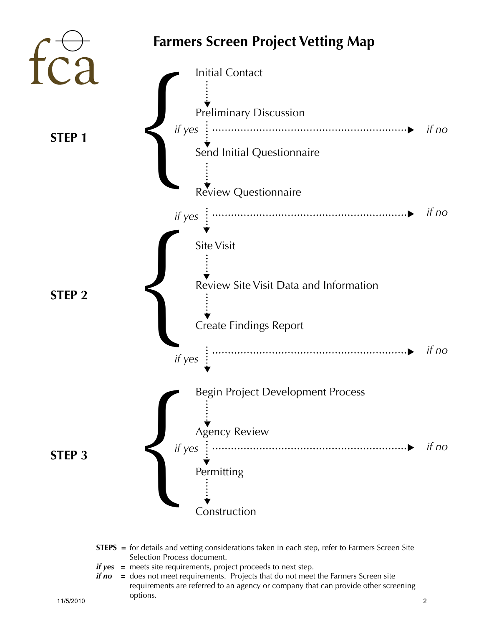

#### **STEPS** = for details and vetting considerations taken in each step, refer to Farmers Screen Site Selection Process document.

- *if yes* = meets site requirements, project proceeds to next step.
- *if no* = does not meet requirements. Projects that do not meet the Farmers Screen site requirements are referred to an agency or company that can provide other screening options. 11/5/2010 2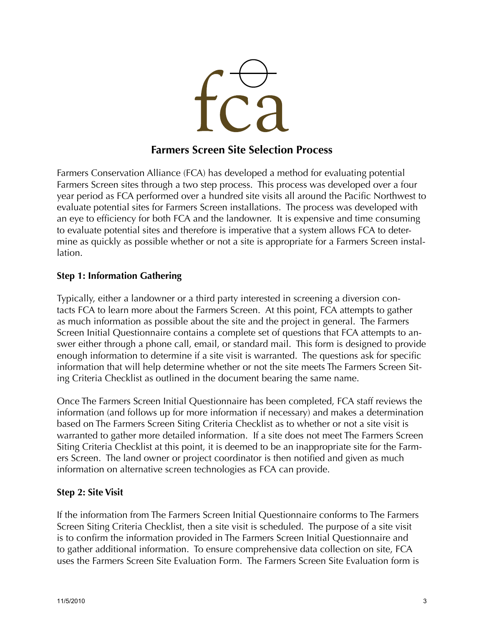

# **Farmers Screen Site Selection Process**

Farmers Conservation Alliance (FCA) has developed a method for evaluating potential Farmers Screen sites through a two step process. This process was developed over a four year period as FCA performed over a hundred site visits all around the Pacific Northwest to evaluate potential sites for Farmers Screen installations. The process was developed with an eye to efficiency for both FCA and the landowner. It is expensive and time consuming to evaluate potential sites and therefore is imperative that a system allows FCA to determine as quickly as possible whether or not a site is appropriate for a Farmers Screen installation.

### **Step 1: Information Gathering**

Typically, either a landowner or a third party interested in screening a diversion contacts FCA to learn more about the Farmers Screen. At this point, FCA attempts to gather as much information as possible about the site and the project in general. The Farmers Screen Initial Questionnaire contains a complete set of questions that FCA attempts to answer either through a phone call, email, or standard mail. This form is designed to provide enough information to determine if a site visit is warranted. The questions ask for specific information that will help determine whether or not the site meets The Farmers Screen Siting Criteria Checklist as outlined in the document bearing the same name.

Once The Farmers Screen Initial Questionnaire has been completed, FCA staff reviews the information (and follows up for more information if necessary) and makes a determination based on The Farmers Screen Siting Criteria Checklist as to whether or not a site visit is warranted to gather more detailed information. If a site does not meet The Farmers Screen Siting Criteria Checklist at this point, it is deemed to be an inappropriate site for the Farmers Screen. The land owner or project coordinator is then notified and given as much information on alternative screen technologies as FCA can provide.

### **Step 2: Site Visit**

If the information from The Farmers Screen Initial Questionnaire conforms to The Farmers Screen Siting Criteria Checklist, then a site visit is scheduled. The purpose of a site visit is to confirm the information provided in The Farmers Screen Initial Questionnaire and to gather additional information. To ensure comprehensive data collection on site, FCA uses the Farmers Screen Site Evaluation Form. The Farmers Screen Site Evaluation form is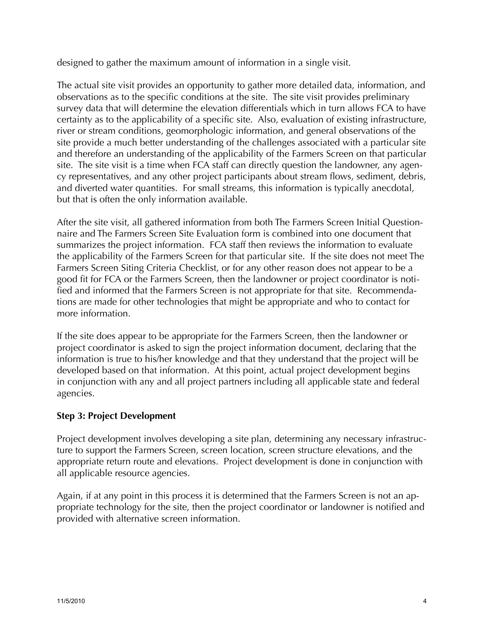designed to gather the maximum amount of information in a single visit.

The actual site visit provides an opportunity to gather more detailed data, information, and observations as to the specific conditions at the site. The site visit provides preliminary survey data that will determine the elevation differentials which in turn allows FCA to have certainty as to the applicability of a specific site. Also, evaluation of existing infrastructure, river or stream conditions, geomorphologic information, and general observations of the site provide a much better understanding of the challenges associated with a particular site and therefore an understanding of the applicability of the Farmers Screen on that particular site. The site visit is a time when FCA staff can directly question the landowner, any agency representatives, and any other project participants about stream flows, sediment, debris, and diverted water quantities. For small streams, this information is typically anecdotal, but that is often the only information available.

After the site visit, all gathered information from both The Farmers Screen Initial Questionnaire and The Farmers Screen Site Evaluation form is combined into one document that summarizes the project information. FCA staff then reviews the information to evaluate the applicability of the Farmers Screen for that particular site. If the site does not meet The Farmers Screen Siting Criteria Checklist, or for any other reason does not appear to be a good fit for FCA or the Farmers Screen, then the landowner or project coordinator is notified and informed that the Farmers Screen is not appropriate for that site. Recommendations are made for other technologies that might be appropriate and who to contact for more information.

If the site does appear to be appropriate for the Farmers Screen, then the landowner or project coordinator is asked to sign the project information document, declaring that the information is true to his/her knowledge and that they understand that the project will be developed based on that information. At this point, actual project development begins in conjunction with any and all project partners including all applicable state and federal agencies.

## **Step 3: Project Development**

Project development involves developing a site plan, determining any necessary infrastructure to support the Farmers Screen, screen location, screen structure elevations, and the appropriate return route and elevations. Project development is done in conjunction with all applicable resource agencies.

Again, if at any point in this process it is determined that the Farmers Screen is not an appropriate technology for the site, then the project coordinator or landowner is notified and provided with alternative screen information.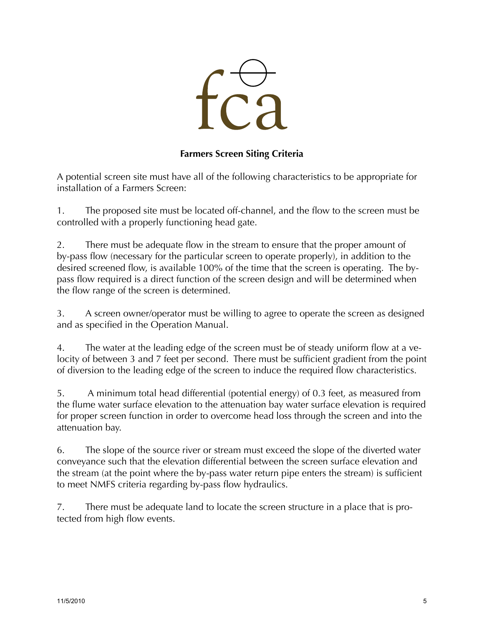

## **Farmers Screen Siting Criteria**

A potential screen site must have all of the following characteristics to be appropriate for installation of a Farmers Screen:

1. The proposed site must be located off-channel, and the flow to the screen must be controlled with a properly functioning head gate.

2. There must be adequate flow in the stream to ensure that the proper amount of by-pass flow (necessary for the particular screen to operate properly), in addition to the desired screened flow, is available 100% of the time that the screen is operating. The bypass flow required is a direct function of the screen design and will be determined when the flow range of the screen is determined.

3. A screen owner/operator must be willing to agree to operate the screen as designed and as specified in the Operation Manual.

4. The water at the leading edge of the screen must be of steady uniform flow at a velocity of between 3 and 7 feet per second. There must be sufficient gradient from the point of diversion to the leading edge of the screen to induce the required flow characteristics.

5. A minimum total head differential (potential energy) of 0.3 feet, as measured from the flume water surface elevation to the attenuation bay water surface elevation is required for proper screen function in order to overcome head loss through the screen and into the attenuation bay.

6. The slope of the source river or stream must exceed the slope of the diverted water conveyance such that the elevation differential between the screen surface elevation and the stream (at the point where the by-pass water return pipe enters the stream) is sufficient to meet NMFS criteria regarding by-pass flow hydraulics.

7. There must be adequate land to locate the screen structure in a place that is protected from high flow events.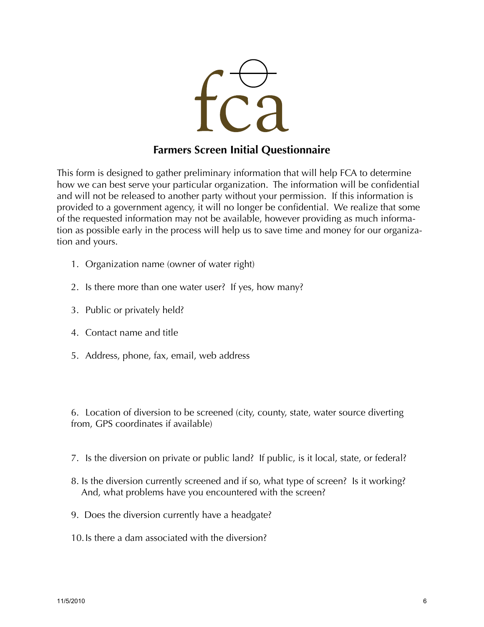

# **Farmers Screen Initial Questionnaire**

This form is designed to gather preliminary information that will help FCA to determine how we can best serve your particular organization. The information will be confidential and will not be released to another party without your permission. If this information is provided to a government agency, it will no longer be confidential. We realize that some of the requested information may not be available, however providing as much information as possible early in the process will help us to save time and money for our organization and yours.

- 1. Organization name (owner of water right)
- 2. Is there more than one water user? If yes, how many?
- 3. Public or privately held?
- 4. Contact name and title
- 5. Address, phone, fax, email, web address

6. Location of diversion to be screened (city, county, state, water source diverting from, GPS coordinates if available)

- 7. Is the diversion on private or public land? If public, is it local, state, or federal?
- 8. Is the diversion currently screened and if so, what type of screen? Is it working? And, what problems have you encountered with the screen?
- 9. Does the diversion currently have a headgate?
- 10.Is there a dam associated with the diversion?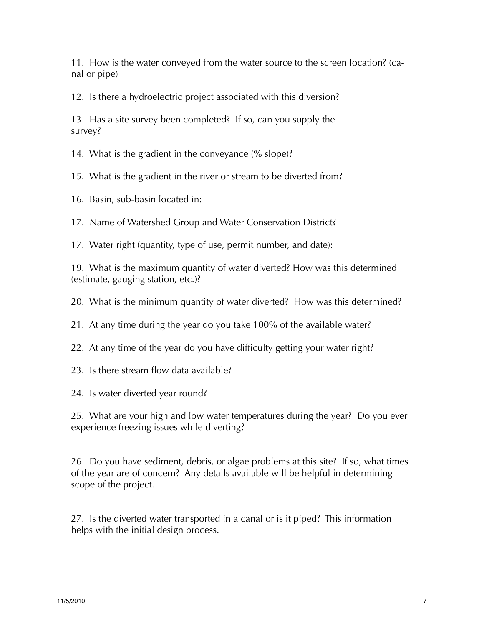11. How is the water conveyed from the water source to the screen location? (canal or pipe)

12. Is there a hydroelectric project associated with this diversion?

13. Has a site survey been completed? If so, can you supply the survey?

14. What is the gradient in the conveyance (% slope)?

15. What is the gradient in the river or stream to be diverted from?

16. Basin, sub-basin located in:

17. Name of Watershed Group and Water Conservation District?

17. Water right (quantity, type of use, permit number, and date):

19. What is the maximum quantity of water diverted? How was this determined (estimate, gauging station, etc.)?

20. What is the minimum quantity of water diverted? How was this determined?

21. At any time during the year do you take 100% of the available water?

- 22. At any time of the year do you have difficulty getting your water right?
- 23. Is there stream flow data available?

24. Is water diverted year round?

25. What are your high and low water temperatures during the year? Do you ever experience freezing issues while diverting?

26. Do you have sediment, debris, or algae problems at this site? If so, what times of the year are of concern? Any details available will be helpful in determining scope of the project.

27. Is the diverted water transported in a canal or is it piped? This information helps with the initial design process.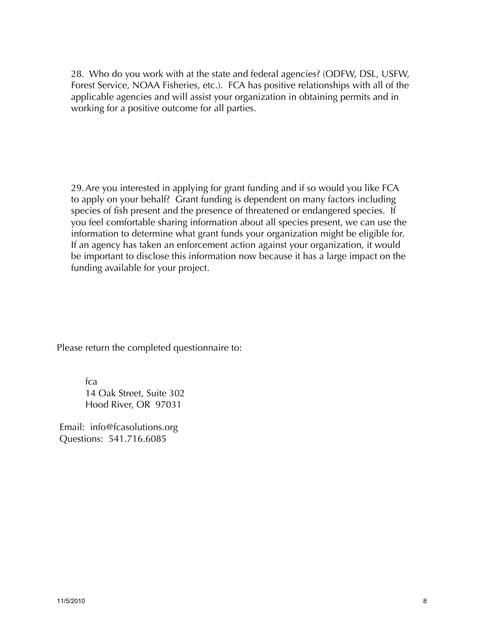28. Who do you work with at the state and federal agencies? (ODFW, DSL, USFW, Forest Service, NOAA Fisheries, etc.). FCA has positive relationships with all of the applicable agencies and will assist your organization in obtaining permits and in working for a positive outcome for all parties.

29.Are you interested in applying for grant funding and if so would you like FCA to apply on your behalf? Grant funding is dependent on many factors including species of fish present and the presence of threatened or endangered species. If you feel comfortable sharing information about all species present, we can use the information to determine what grant funds your organization might be eligible for. If an agency has taken an enforcement action against your organization, it would be important to disclose this information now because it has a large impact on the funding available for your project.

Please return the completed questionnaire to:

fca 14 Oak Street, Suite 302 Hood River, OR 97031

 Email: info@fcasolutions.org Questions: 541.716.6085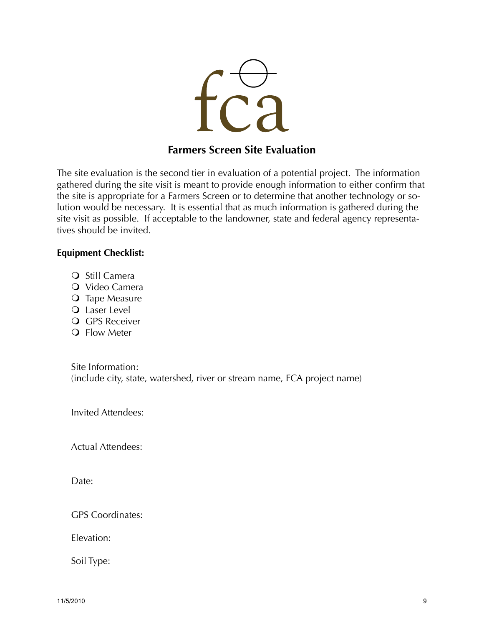

# **Farmers Screen Site Evaluation**

The site evaluation is the second tier in evaluation of a potential project. The information gathered during the site visit is meant to provide enough information to either confirm that the site is appropriate for a Farmers Screen or to determine that another technology or solution would be necessary. It is essential that as much information is gathered during the site visit as possible. If acceptable to the landowner, state and federal agency representatives should be invited.

#### **Equipment Checklist:**

- **O** Still Camera
- O Video Camera
- O Tape Measure
- Laser Level
- **Q** GPS Receiver
- **Q** Flow Meter

Site Information: (include city, state, watershed, river or stream name, FCA project name)

Invited Attendees:

Actual Attendees:

Date<sup>·</sup>

GPS Coordinates:

Elevation:

Soil Type: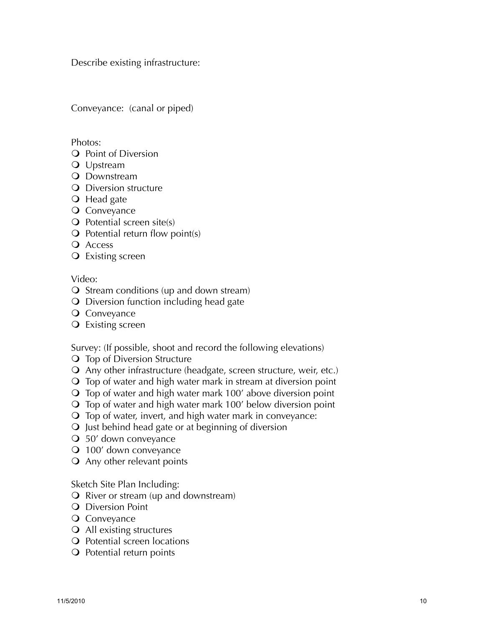Describe existing infrastructure:

Conveyance: (canal or piped)

Photos:

- Q Point of Diversion
- Upstream
- **Q** Downstream
- **O** Diversion structure
- **O** Head gate
- **Q** Conveyance
- $\bigcirc$  Potential screen site(s)
- $\overline{Q}$  Potential return flow point(s)
- **Q** Access
- **Q** Existing screen

### Video:

- **O** Stream conditions (up and down stream)
- **O** Diversion function including head gate
- O Conveyance
- Existing screen

Survey: (If possible, shoot and record the following elevations)

- **Q** Top of Diversion Structure
- Any other infrastructure (headgate, screen structure, weir, etc.)
- Top of water and high water mark in stream at diversion point
- Top of water and high water mark 100' above diversion point
- Top of water and high water mark 100' below diversion point
- Top of water, invert, and high water mark in conveyance:
- $\Omega$  Just behind head gate or at beginning of diversion
- 50' down conveyance
- 100' down conveyance
- Any other relevant points

Sketch Site Plan Including:

- $\Omega$  River or stream (up and downstream)
- **Q** Diversion Point
- **O** Conveyance
- All existing structures
- **Q** Potential screen locations
- O Potential return points